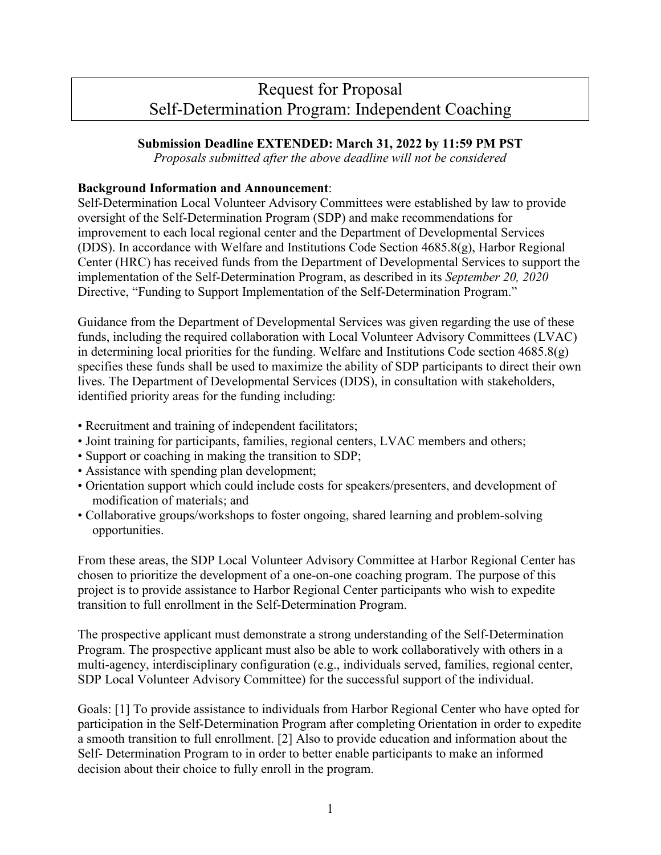# Request for Proposal Self-Determination Program: Independent Coaching

## **Submission Deadline EXTENDED: March 31, 2022 by 11:59 PM PST**

*Proposals submitted after the above deadline will not be considered*

#### **Background Information and Announcement**:

Self-Determination Local Volunteer Advisory Committees were established by law to provide oversight of the Self-Determination Program (SDP) and make recommendations for improvement to each local regional center and the Department of Developmental Services (DDS). In accordance with Welfare and Institutions Code Section  $4685.8(g)$ , Harbor Regional Center (HRC) has received funds from the Department of Developmental Services to support the implementation of the Self-Determination Program, as described in its *September 20, 2020* Directive, "Funding to Support Implementation of the Self-Determination Program."

Guidance from the Department of Developmental Services was given regarding the use of these funds, including the required collaboration with Local Volunteer Advisory Committees (LVAC) in determining local priorities for the funding. Welfare and Institutions Code section  $4685.8(g)$ specifies these funds shall be used to maximize the ability of SDP participants to direct their own lives. The Department of Developmental Services (DDS), in consultation with stakeholders, identified priority areas for the funding including:

- Recruitment and training of independent facilitators;
- Joint training for participants, families, regional centers, LVAC members and others;
- Support or coaching in making the transition to SDP;
- Assistance with spending plan development;
- Orientation support which could include costs for speakers/presenters, and development of modification of materials; and
- Collaborative groups/workshops to foster ongoing, shared learning and problem-solving opportunities.

From these areas, the SDP Local Volunteer Advisory Committee at Harbor Regional Center has chosen to prioritize the development of a one-on-one coaching program. The purpose of this project is to provide assistance to Harbor Regional Center participants who wish to expedite transition to full enrollment in the Self-Determination Program.

The prospective applicant must demonstrate a strong understanding of the Self-Determination Program. The prospective applicant must also be able to work collaboratively with others in a multi-agency, interdisciplinary configuration (e.g., individuals served, families, regional center, SDP Local Volunteer Advisory Committee) for the successful support of the individual.

Goals: [1] To provide assistance to individuals from Harbor Regional Center who have opted for participation in the Self-Determination Program after completing Orientation in order to expedite a smooth transition to full enrollment. [2] Also to provide education and information about the Self- Determination Program to in order to better enable participants to make an informed decision about their choice to fully enroll in the program.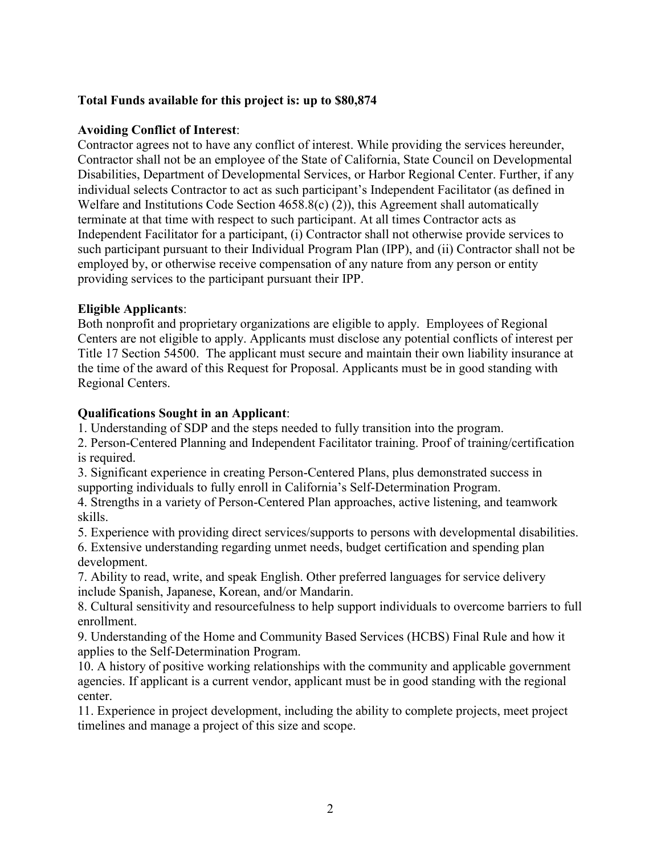# **Total Funds available for this project is: up to \$80,874**

### **Avoiding Conflict of Interest**:

Contractor agrees not to have any conflict of interest. While providing the services hereunder, Contractor shall not be an employee of the State of California, State Council on Developmental Disabilities, Department of Developmental Services, or Harbor Regional Center. Further, if any individual selects Contractor to act as such participant's Independent Facilitator (as defined in Welfare and Institutions Code Section 4658.8(c) (2)), this Agreement shall automatically terminate at that time with respect to such participant. At all times Contractor acts as Independent Facilitator for a participant, (i) Contractor shall not otherwise provide services to such participant pursuant to their Individual Program Plan (IPP), and (ii) Contractor shall not be employed by, or otherwise receive compensation of any nature from any person or entity providing services to the participant pursuant their IPP.

### **Eligible Applicants**:

Both nonprofit and proprietary organizations are eligible to apply. Employees of Regional Centers are not eligible to apply. Applicants must disclose any potential conflicts of interest per Title 17 Section 54500. The applicant must secure and maintain their own liability insurance at the time of the award of this Request for Proposal. Applicants must be in good standing with Regional Centers.

### **Qualifications Sought in an Applicant**:

1. Understanding of SDP and the steps needed to fully transition into the program.

2. Person-Centered Planning and Independent Facilitator training. Proof of training/certification is required.

3. Significant experience in creating Person-Centered Plans, plus demonstrated success in supporting individuals to fully enroll in California's Self-Determination Program.

4. Strengths in a variety of Person-Centered Plan approaches, active listening, and teamwork skills.

5. Experience with providing direct services/supports to persons with developmental disabilities.

6. Extensive understanding regarding unmet needs, budget certification and spending plan development.

7. Ability to read, write, and speak English. Other preferred languages for service delivery include Spanish, Japanese, Korean, and/or Mandarin.

8. Cultural sensitivity and resourcefulness to help support individuals to overcome barriers to full enrollment.

9. Understanding of the Home and Community Based Services (HCBS) Final Rule and how it applies to the Self-Determination Program.

10. A history of positive working relationships with the community and applicable government agencies. If applicant is a current vendor, applicant must be in good standing with the regional center.

11. Experience in project development, including the ability to complete projects, meet project timelines and manage a project of this size and scope.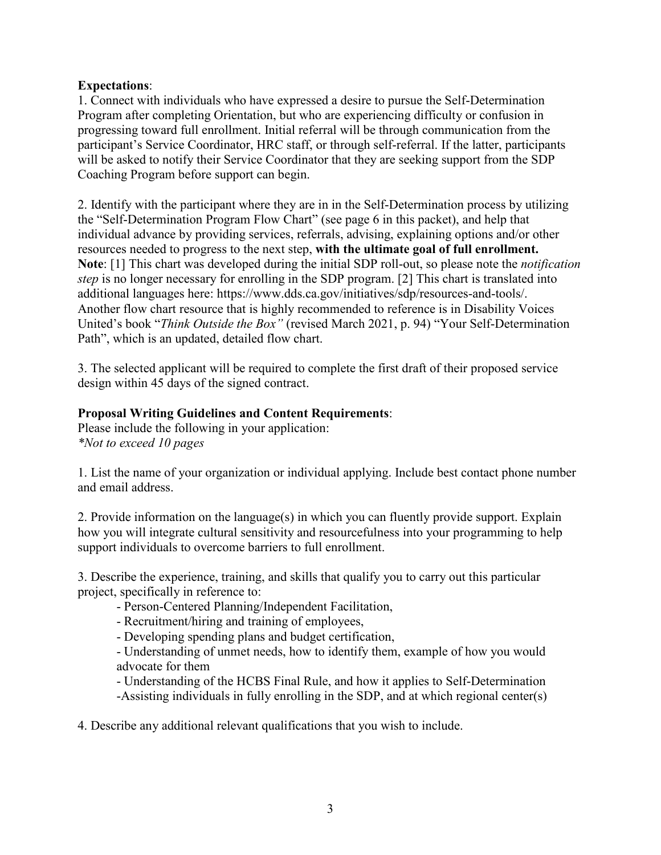## **Expectations**:

1. Connect with individuals who have expressed a desire to pursue the Self-Determination Program after completing Orientation, but who are experiencing difficulty or confusion in progressing toward full enrollment. Initial referral will be through communication from the participant's Service Coordinator, HRC staff, or through self-referral. If the latter, participants will be asked to notify their Service Coordinator that they are seeking support from the SDP Coaching Program before support can begin.

2. Identify with the participant where they are in in the Self-Determination process by utilizing the "Self-Determination Program Flow Chart" (see page 6 in this packet), and help that individual advance by providing services, referrals, advising, explaining options and/or other resources needed to progress to the next step, **with the ultimate goal of full enrollment. Note**: [1] This chart was developed during the initial SDP roll-out, so please note the *notification step* is no longer necessary for enrolling in the SDP program. [2] This chart is translated into additional languages here: [https://www.dds.ca.gov/initiatives/sdp/resources-and-tools/.](https://www.dds.ca.gov/initiatives/sdp/resources-and-tools/) Another flow chart resource that is highly recommended to reference is in Disability Voices United's book "*Think Outside the Box"* (revised March 2021, p. 94) "Your Self-Determination Path", which is an updated, detailed flow chart.

3. The selected applicant will be required to complete the first draft of their proposed service design within 45 days of the signed contract.

### **Proposal Writing Guidelines and Content Requirements**:

Please include the following in your application: *\*Not to exceed 10 pages*

1. List the name of your organization or individual applying. Include best contact phone number and email address.

2. Provide information on the language(s) in which you can fluently provide support. Explain how you will integrate cultural sensitivity and resourcefulness into your programming to help support individuals to overcome barriers to full enrollment.

3. Describe the experience, training, and skills that qualify you to carry out this particular project, specifically in reference to:

- Person-Centered Planning/Independent Facilitation,
- Recruitment/hiring and training of employees,
- Developing spending plans and budget certification,

- Understanding of unmet needs, how to identify them, example of how you would advocate for them

- Understanding of the HCBS Final Rule, and how it applies to Self-Determination
- -Assisting individuals in fully enrolling in the SDP, and at which regional center(s)

4. Describe any additional relevant qualifications that you wish to include.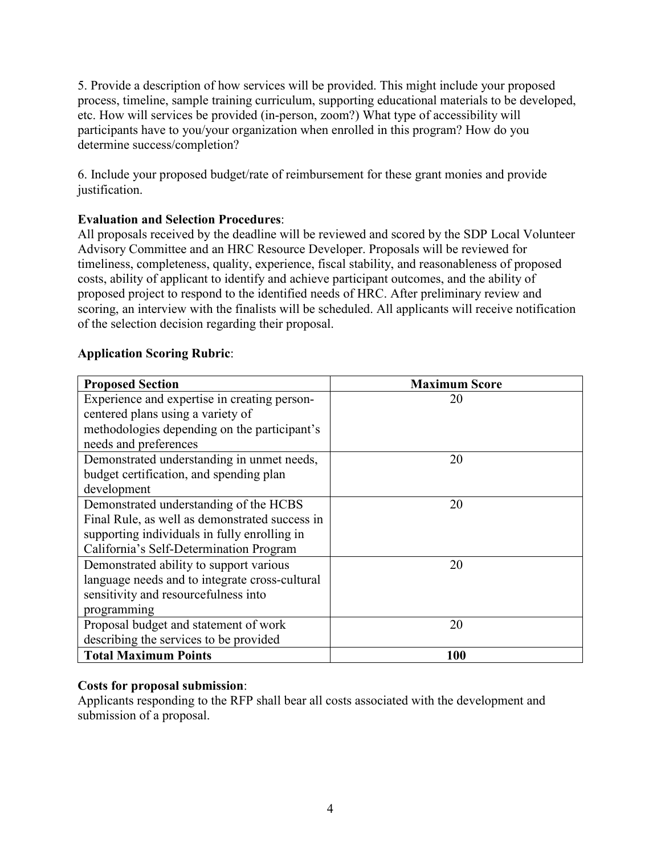5. Provide a description of how services will be provided. This might include your proposed process, timeline, sample training curriculum, supporting educational materials to be developed, etc. How will services be provided (in-person, zoom?) What type of accessibility will participants have to you/your organization when enrolled in this program? How do you determine success/completion?

6. Include your proposed budget/rate of reimbursement for these grant monies and provide justification.

# **Evaluation and Selection Procedures**:

All proposals received by the deadline will be reviewed and scored by the SDP Local Volunteer Advisory Committee and an HRC Resource Developer. Proposals will be reviewed for timeliness, completeness, quality, experience, fiscal stability, and reasonableness of proposed costs, ability of applicant to identify and achieve participant outcomes, and the ability of proposed project to respond to the identified needs of HRC. After preliminary review and scoring, an interview with the finalists will be scheduled. All applicants will receive notification of the selection decision regarding their proposal.

# **Application Scoring Rubric**:

| <b>Proposed Section</b>                        | <b>Maximum Score</b> |
|------------------------------------------------|----------------------|
| Experience and expertise in creating person-   | 20                   |
| centered plans using a variety of              |                      |
| methodologies depending on the participant's   |                      |
| needs and preferences                          |                      |
| Demonstrated understanding in unmet needs,     | 20                   |
| budget certification, and spending plan        |                      |
| development                                    |                      |
| Demonstrated understanding of the HCBS         | 20                   |
| Final Rule, as well as demonstrated success in |                      |
| supporting individuals in fully enrolling in   |                      |
| California's Self-Determination Program        |                      |
| Demonstrated ability to support various        | 20                   |
| language needs and to integrate cross-cultural |                      |
| sensitivity and resourcefulness into           |                      |
| programming                                    |                      |
| Proposal budget and statement of work          | 20                   |
| describing the services to be provided         |                      |
| <b>Total Maximum Points</b>                    | 100                  |

# **Costs for proposal submission**:

Applicants responding to the RFP shall bear all costs associated with the development and submission of a proposal.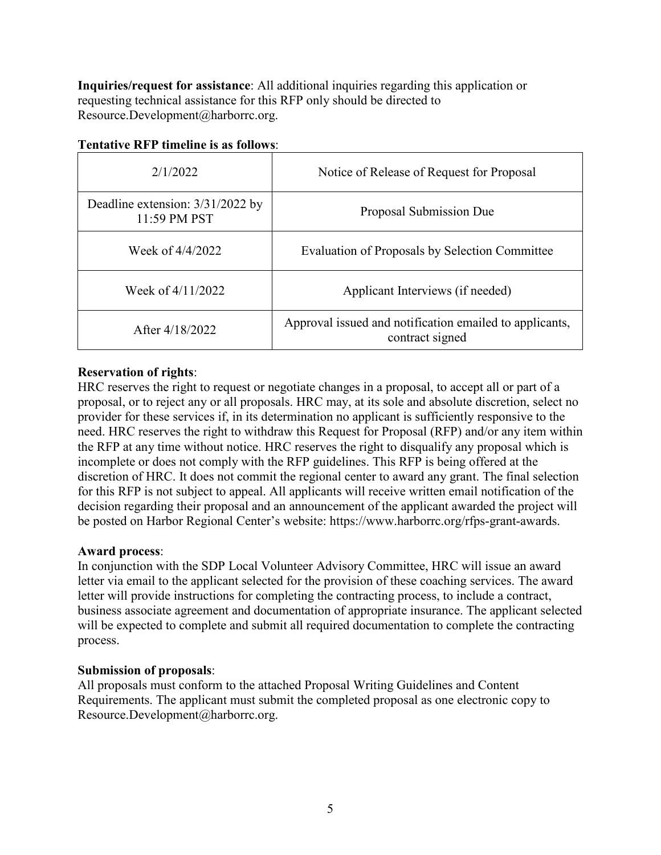**Inquiries/request for assistance**: All additional inquiries regarding this application or requesting technical assistance for this RFP only should be directed to Resource.Development@harborrc.org.

| 2/1/2022                                           | Notice of Release of Request for Proposal                                  |
|----------------------------------------------------|----------------------------------------------------------------------------|
| Deadline extension: $3/31/2022$ by<br>11:59 PM PST | Proposal Submission Due                                                    |
| Week of 4/4/2022                                   | Evaluation of Proposals by Selection Committee                             |
| Week of 4/11/2022                                  | Applicant Interviews (if needed)                                           |
| After 4/18/2022                                    | Approval issued and notification emailed to applicants,<br>contract signed |

### **Tentative RFP timeline is as follows**:

# **Reservation of rights**:

HRC reserves the right to request or negotiate changes in a proposal, to accept all or part of a proposal, or to reject any or all proposals. HRC may, at its sole and absolute discretion, select no provider for these services if, in its determination no applicant is sufficiently responsive to the need. HRC reserves the right to withdraw this Request for Proposal (RFP) and/or any item within the RFP at any time without notice. HRC reserves the right to disqualify any proposal which is incomplete or does not comply with the RFP guidelines. This RFP is being offered at the discretion of HRC. It does not commit the regional center to award any grant. The final selection for this RFP is not subject to appeal. All applicants will receive written email notification of the decision regarding their proposal and an announcement of the applicant awarded the project will be posted on Harbor Regional Center's website: https://www.harborrc.org/rfps-grant-awards.

#### **Award process**:

In conjunction with the SDP Local Volunteer Advisory Committee, HRC will issue an award letter via email to the applicant selected for the provision of these coaching services. The award letter will provide instructions for completing the contracting process, to include a contract, business associate agreement and documentation of appropriate insurance. The applicant selected will be expected to complete and submit all required documentation to complete the contracting process.

#### **Submission of proposals**:

All proposals must conform to the attached Proposal Writing Guidelines and Content Requirements. The applicant must submit the completed proposal as one electronic copy to Resource.Development@harborrc.org.